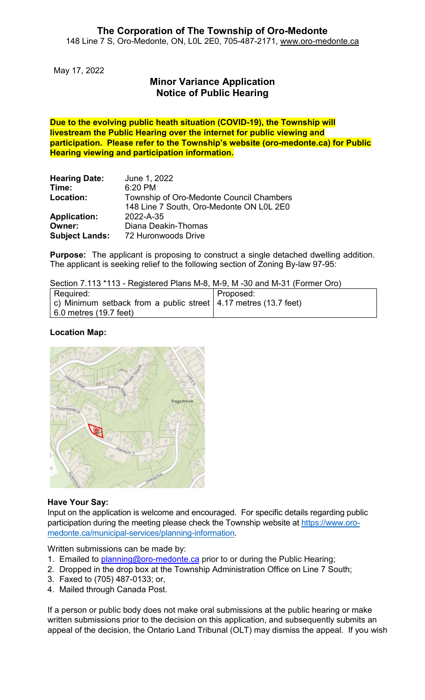May 17, 2022

# **Minor Variance Application Notice of Public Hearing**

**Due to the evolving public heath situation (COVID-19), the Township will livestream the Public Hearing over the internet for public viewing and participation. Please refer to the Township's website (oro-medonte.ca) for Public Hearing viewing and participation information.**

| <b>Hearing Date:</b>  | June 1, 2022                             |
|-----------------------|------------------------------------------|
| Time:                 | 6:20 PM                                  |
| Location:             | Township of Oro-Medonte Council Chambers |
|                       | 148 Line 7 South, Oro-Medonte ON L0L 2E0 |
| <b>Application:</b>   | 2022-A-35                                |
| Owner:                | Diana Deakin-Thomas                      |
| <b>Subject Lands:</b> | 72 Huronwoods Drive                      |

**Purpose:** The applicant is proposing to construct a single detached dwelling addition. The applicant is seeking relief to the following section of Zoning By-law 97-95:

Section 7.113 \*113 - Registered Plans M-8, M-9, M -30 and M-31 (Former Oro)

| Required:                                                         | Proposed: |
|-------------------------------------------------------------------|-----------|
| c) Minimum setback from a public street   4.17 metres (13.7 feet) |           |
| 6.0 metres (19.7 feet)                                            |           |

## **Location Map:**



## **Have Your Say:**

Input on the application is welcome and encouraged. For specific details regarding public participation during the meeting please check the Township website at [https://www.oro](https://www.oro-medonte.ca/municipal-services/planning-information)[medonte.ca/municipal-services/planning-information.](https://www.oro-medonte.ca/municipal-services/planning-information)

Written submissions can be made by:

- 1. Emailed to [planning@oro-medonte.ca](mailto:planning@oro-medonte.ca) prior to or during the Public Hearing;
- 2. Dropped in the drop box at the Township Administration Office on Line 7 South;
- 3. Faxed to (705) 487-0133; or,
- 4. Mailed through Canada Post.

If a person or public body does not make oral submissions at the public hearing or make written submissions prior to the decision on this application, and subsequently submits an appeal of the decision, the Ontario Land Tribunal (OLT) may dismiss the appeal. If you wish